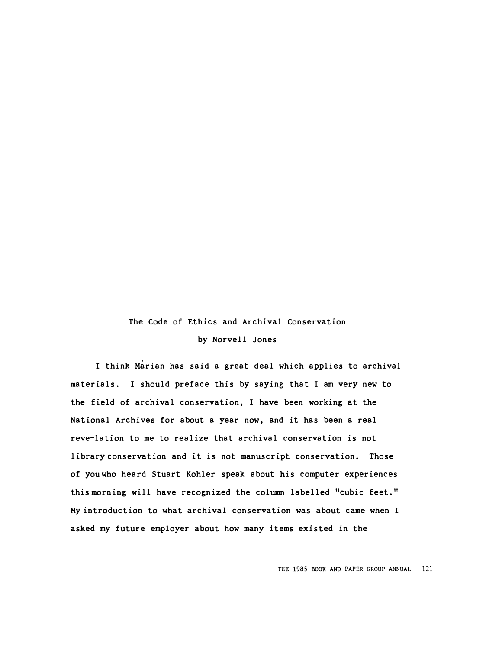## The Code of Ethics and Archival Conservation by Norvell Jones

I think Marian has said a great deal which applies to archival materials. I should preface this by saying that I am very new to the field of archival conservation, I have been working at the National Archives for about a year now, and it has been a real revelation to me to realize that archival conservation is not library conservation and it is not manuscript conservation. Those of you who heard Stuart Kohler speak about his computer experiences this morning will have recognized the column labelled "cubic feet." My introduction to what archival conservation was about came when I asked my future employer about how many items existed in the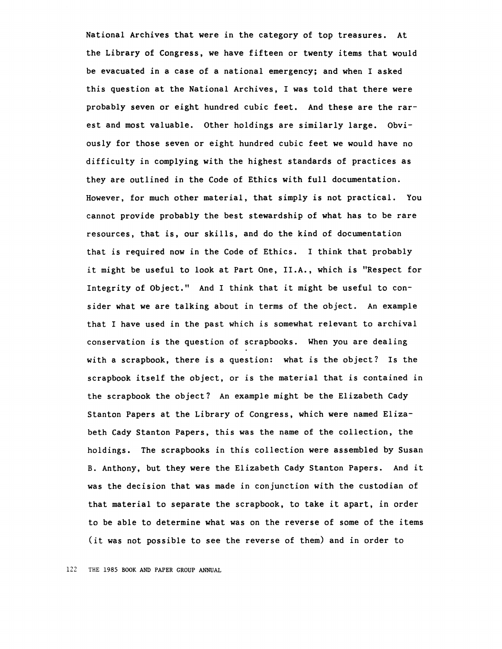National Archives that were in the category of top treasures. At the Library of Congress, we have fifteen or twenty items that would be evacuated in a case of a national emergency; and when I asked this question at the National Archives, I was told that there were probably seven or eight hundred cubic feet. And these are the rarest and most valuable. Other holdings are similarly large. Obviously for those seven or eight hundred cubic feet we would have no difficulty in complying with the highest standards of practices as they are outlined in the Code of Ethics with full documentation. However, for much other material, that simply is not practical. You cannot provide probably the best stewardship of what has to be rare resources, that is, our skills, and do the kind of documentation that is required now in the Code of Ethics. I think that probably it might be useful to look at Part One, II.A., which is "Respect for Integrity of Object." And I think that it might be useful to consider what we are talking about in terms of the object. An example that I have used in the past which is somewhat relevant to archival conservation is the question of scrapbooks. When you are dealing with a scrapbook, there is a question: what is the object? Is the scrapbook itself the object, or is the material that is contained in the scrapbook the object? An example might be the Elizabeth Cady Stanton Papers at the Library of Congress, which were named Elizabeth Cady Stanton Papers, this was the name of the collection, the holdings. The scrapbooks in this collection were assembled by Susan B. Anthony, but they were the Elizabeth Cady Stanton Papers. And it was the decision that was made in conjunction with the custodian of that material to separate the scrapbook, to take it apart, in order to be able to determine what was on the reverse of some of the items (it was not possible to see the reverse of them) and in order to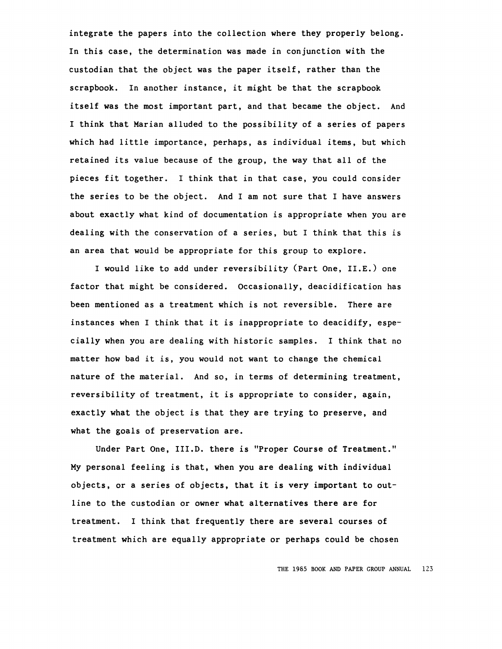integrate the papers into the collection where they properly belong. In this case, the determination was made in conjunction with the custodian that the object was the paper itself, rather than the scrapbook. In another instance, it might be that the scrapbook itself was the most important part, and that became the object. And I think that Marian alluded to the possibility of a series of papers which had little importance, perhaps, as individual items, but which retained its value because of the group, the way that all of the pieces fit together. I think that in that case, you could consider the series to be the object. And I am not sure that I have answers about exactly what kind of documentation is appropriate when you are dealing with the conservation of a series, but I think that this is an area that would be appropriate for this group to explore.

I would like to add under reversibility (Part One, II.E.) one factor that might be considered. Occasionally, deacidification has been mentioned as a treatment which is not reversible. There are instances when I think that it is inappropriate to deacidify, especially when you are dealing with historic samples. I think that no matter how bad it is, you would not want to change the chemical nature of the material. And so, in terms of determining treatment, reversibility of treatment, it is appropriate to consider, again, exactly what the object is that they are trying to preserve, and what the goals of preservation are.

Under Part One, III.D. there is "Proper Course of Treatment." My personal feeling is that, when you are dealing with individual objects, or a series of objects, that it is very important to outline to the custodian or owner what alternatives there are for treatment. I think that frequently there are several courses of treatment which are equally appropriate or perhaps could be chosen